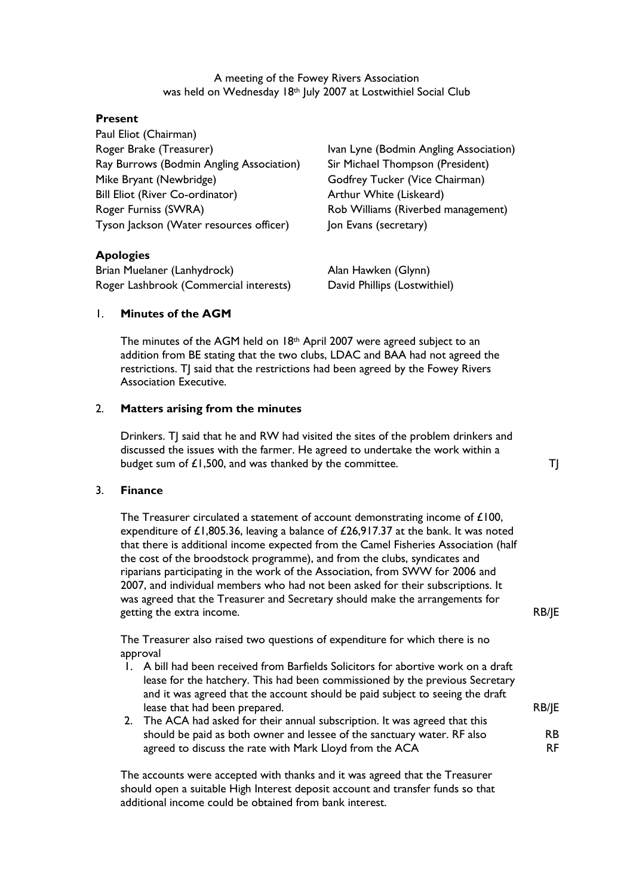A meeting of the Fowey Rivers Association was held on Wednesday 18th July 2007 at Lostwithiel Social Club

#### Present

Paul Eliot (Chairman) Roger Brake (Treasurer) The State of Ivan Lyne (Bodmin Angling Association) Ray Burrows (Bodmin Angling Association) Sir Michael Thompson (President) Mike Bryant (Newbridge) Godfrey Tucker (Vice Chairman) Bill Eliot (River Co-ordinator) Arthur White (Liskeard) Roger Furniss (SWRA) Rob Williams (Riverbed management) Tyson Jackson (Water resources officer) Jon Evans (secretary)

RB/JE

RB/JE

#### Apologies

Brian Muelaner (Lanhydrock) Man Hawken (Glynn) Roger Lashbrook (Commercial interests) David Phillips (Lostwithiel)

### 1. Minutes of the AGM

The minutes of the AGM held on  $18<sup>th</sup>$  April 2007 were agreed subject to an addition from BE stating that the two clubs, LDAC and BAA had not agreed the restrictions. TJ said that the restrictions had been agreed by the Fowey Rivers Association Executive.

#### 2. Matters arising from the minutes

Drinkers. TJ said that he and RW had visited the sites of the problem drinkers and discussed the issues with the farmer. He agreed to undertake the work within a budget sum of  $£1,500$ , and was thanked by the committee.  $T$ 

#### 3. Finance

The Treasurer circulated a statement of account demonstrating income of £100, expenditure of £1,805.36, leaving a balance of £26,917.37 at the bank. It was noted that there is additional income expected from the Camel Fisheries Association (half the cost of the broodstock programme), and from the clubs, syndicates and riparians participating in the work of the Association, from SWW for 2006 and 2007, and individual members who had not been asked for their subscriptions. It was agreed that the Treasurer and Secretary should make the arrangements for getting the extra income.

The Treasurer also raised two questions of expenditure for which there is no approval

- 1. A bill had been received from Barfields Solicitors for abortive work on a draft lease for the hatchery. This had been commissioned by the previous Secretary and it was agreed that the account should be paid subject to seeing the draft lease that had been prepared.
- 2. The ACA had asked for their annual subscription. It was agreed that this should be paid as both owner and lessee of the sanctuary water. RF also agreed to discuss the rate with Mark Lloyd from the ACA RB RF

The accounts were accepted with thanks and it was agreed that the Treasurer should open a suitable High Interest deposit account and transfer funds so that additional income could be obtained from bank interest.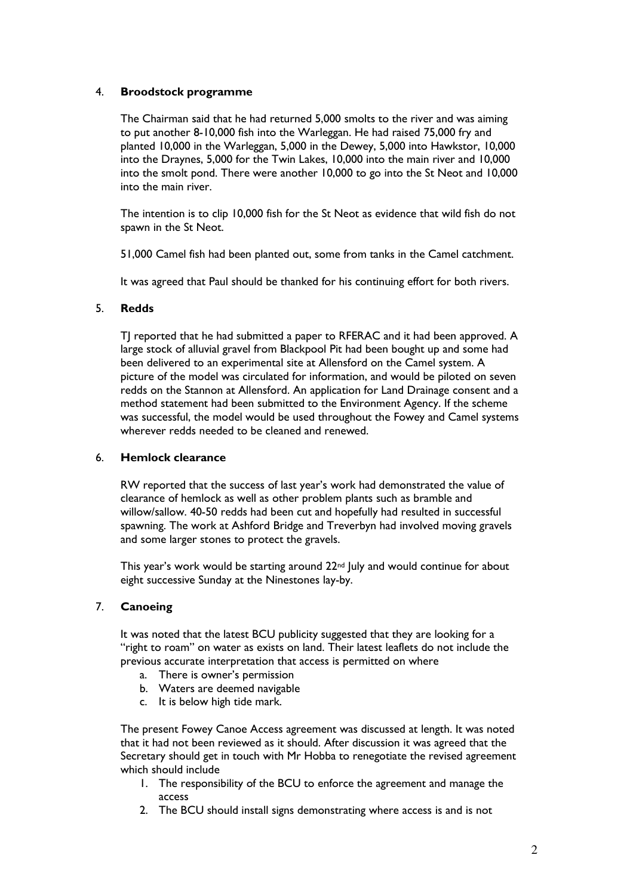# 4. Broodstock programme

The Chairman said that he had returned 5,000 smolts to the river and was aiming to put another 8-10,000 fish into the Warleggan. He had raised 75,000 fry and planted 10,000 in the Warleggan, 5,000 in the Dewey, 5,000 into Hawkstor, 10,000 into the Draynes, 5,000 for the Twin Lakes, 10,000 into the main river and 10,000 into the smolt pond. There were another 10,000 to go into the St Neot and 10,000 into the main river.

The intention is to clip 10,000 fish for the St Neot as evidence that wild fish do not spawn in the St Neot.

51,000 Camel fish had been planted out, some from tanks in the Camel catchment.

It was agreed that Paul should be thanked for his continuing effort for both rivers.

### 5. Redds

TJ reported that he had submitted a paper to RFERAC and it had been approved. A large stock of alluvial gravel from Blackpool Pit had been bought up and some had been delivered to an experimental site at Allensford on the Camel system. A picture of the model was circulated for information, and would be piloted on seven redds on the Stannon at Allensford. An application for Land Drainage consent and a method statement had been submitted to the Environment Agency. If the scheme was successful, the model would be used throughout the Fowey and Camel systems wherever redds needed to be cleaned and renewed.

#### 6. Hemlock clearance

RW reported that the success of last year's work had demonstrated the value of clearance of hemlock as well as other problem plants such as bramble and willow/sallow. 40-50 redds had been cut and hopefully had resulted in successful spawning. The work at Ashford Bridge and Treverbyn had involved moving gravels and some larger stones to protect the gravels.

This year's work would be starting around 22<sup>nd</sup> July and would continue for about eight successive Sunday at the Ninestones lay-by.

# 7. Canoeing

It was noted that the latest BCU publicity suggested that they are looking for a "right to roam" on water as exists on land. Their latest leaflets do not include the previous accurate interpretation that access is permitted on where

- a. There is owner's permission
- b. Waters are deemed navigable
- c. It is below high tide mark.

The present Fowey Canoe Access agreement was discussed at length. It was noted that it had not been reviewed as it should. After discussion it was agreed that the Secretary should get in touch with Mr Hobba to renegotiate the revised agreement which should include

- 1. The responsibility of the BCU to enforce the agreement and manage the access
- 2. The BCU should install signs demonstrating where access is and is not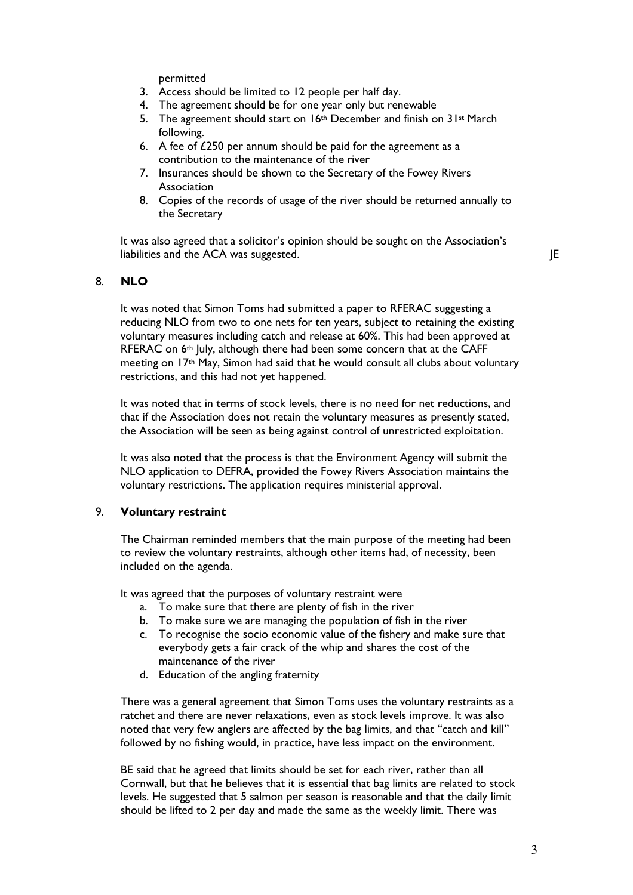permitted

- 3. Access should be limited to 12 people per half day.
- 4. The agreement should be for one year only but renewable
- 5. The agreement should start on  $16<sup>th</sup>$  December and finish on  $31<sup>st</sup>$  March following.
- 6. A fee of £250 per annum should be paid for the agreement as a contribution to the maintenance of the river
- 7. Insurances should be shown to the Secretary of the Fowey Rivers Association
- 8. Copies of the records of usage of the river should be returned annually to the Secretary

It was also agreed that a solicitor's opinion should be sought on the Association's liabilities and the ACA was suggested. Jet also a subset of the set of the set of the set of the set of the set of the set of the set of the set of the set of the set of the set of the set of the set of the set of the set

### 8. NLO

It was noted that Simon Toms had submitted a paper to RFERAC suggesting a reducing NLO from two to one nets for ten years, subject to retaining the existing voluntary measures including catch and release at 60%. This had been approved at RFERAC on 6<sup>th</sup> July, although there had been some concern that at the CAFF meeting on 17th May, Simon had said that he would consult all clubs about voluntary restrictions, and this had not yet happened.

It was noted that in terms of stock levels, there is no need for net reductions, and that if the Association does not retain the voluntary measures as presently stated, the Association will be seen as being against control of unrestricted exploitation.

It was also noted that the process is that the Environment Agency will submit the NLO application to DEFRA, provided the Fowey Rivers Association maintains the voluntary restrictions. The application requires ministerial approval.

#### 9. Voluntary restraint

The Chairman reminded members that the main purpose of the meeting had been to review the voluntary restraints, although other items had, of necessity, been included on the agenda.

It was agreed that the purposes of voluntary restraint were

- a. To make sure that there are plenty of fish in the river
- b. To make sure we are managing the population of fish in the river
- c. To recognise the socio economic value of the fishery and make sure that everybody gets a fair crack of the whip and shares the cost of the maintenance of the river
- d. Education of the angling fraternity

There was a general agreement that Simon Toms uses the voluntary restraints as a ratchet and there are never relaxations, even as stock levels improve. It was also noted that very few anglers are affected by the bag limits, and that "catch and kill" followed by no fishing would, in practice, have less impact on the environment.

BE said that he agreed that limits should be set for each river, rather than all Cornwall, but that he believes that it is essential that bag limits are related to stock levels. He suggested that 5 salmon per season is reasonable and that the daily limit should be lifted to 2 per day and made the same as the weekly limit. There was